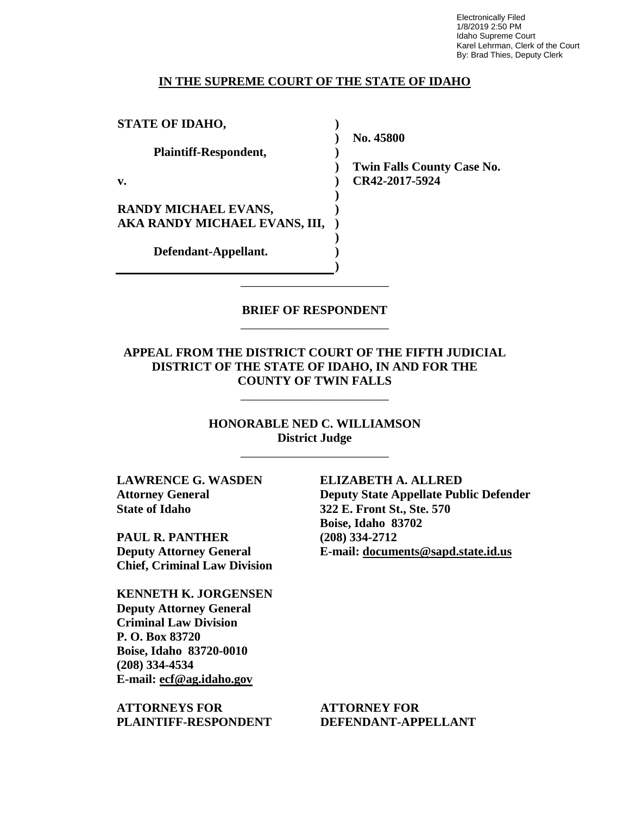Electronically Filed 1/8/2019 2:50 PM Idaho Supreme Court Karel Lehrman, Clerk of the Court By: Brad Thies, Deputy Clerk

#### **IN THE SUPREME COURT OF THE STATE OF IDAHO**

| <b>STATE OF IDAHO,</b>        |                                   |
|-------------------------------|-----------------------------------|
|                               | No. 45800                         |
| <b>Plaintiff-Respondent,</b>  |                                   |
|                               | <b>Twin Falls County Case No.</b> |
| $\mathbf{v}_{\bullet}$        | CR42-2017-5924                    |
|                               |                                   |
| RANDY MICHAEL EVANS,          |                                   |
| AKA RANDY MICHAEL EVANS, III, |                                   |
|                               |                                   |
| Defendant-Appellant.          |                                   |
|                               |                                   |

## **BRIEF OF RESPONDENT** \_\_\_\_\_\_\_\_\_\_\_\_\_\_\_\_\_\_\_\_\_\_\_\_

\_\_\_\_\_\_\_\_\_\_\_\_\_\_\_\_\_\_\_\_\_\_\_\_

# **APPEAL FROM THE DISTRICT COURT OF THE FIFTH JUDICIAL DISTRICT OF THE STATE OF IDAHO, IN AND FOR THE COUNTY OF TWIN FALLS**

\_\_\_\_\_\_\_\_\_\_\_\_\_\_\_\_\_\_\_\_\_\_\_\_

**HONORABLE NED C. WILLIAMSON District Judge** \_\_\_\_\_\_\_\_\_\_\_\_\_\_\_\_\_\_\_\_\_\_\_\_

**LAWRENCE G. WASDEN Attorney General State of Idaho**

**PAUL R. PANTHER Deputy Attorney General Chief, Criminal Law Division**

**KENNETH K. JORGENSEN Deputy Attorney General Criminal Law Division P. O. Box 83720 Boise, Idaho 83720-0010 (208) 334-4534 E-mail: ecf@ag.idaho.gov** 

**ATTORNEYS FOR PLAINTIFF-RESPONDENT** **ELIZABETH A. ALLRED Deputy State Appellate Public Defender 322 E. Front St., Ste. 570 Boise, Idaho 83702 (208) 334-2712 E-mail: documents@sapd.state.id.us** 

**ATTORNEY FOR DEFENDANT-APPELLANT**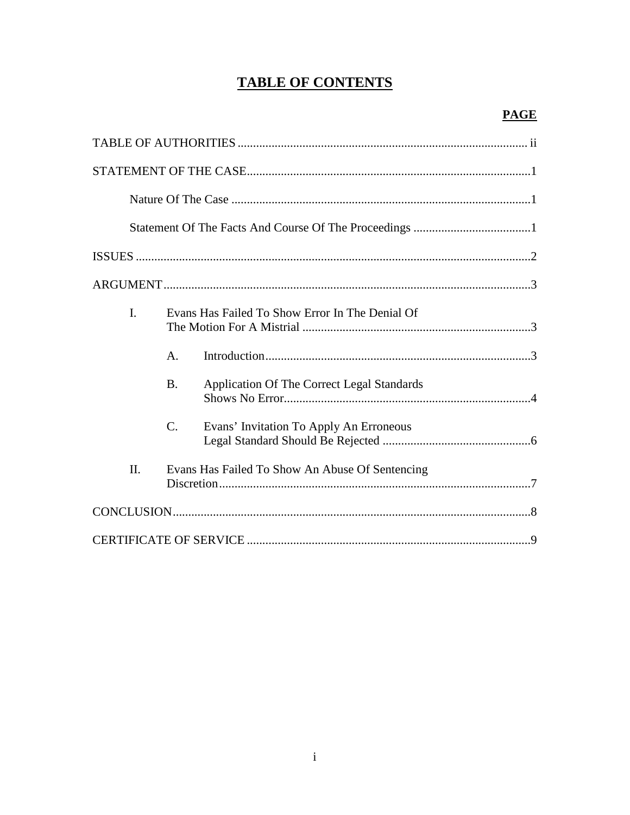# **TABLE OF CONTENTS**

| $\mathbf{I}$ . |                 | Evans Has Failed To Show Error In The Denial Of |  |
|----------------|-----------------|-------------------------------------------------|--|
|                | A.              |                                                 |  |
|                | <b>B.</b>       | Application Of The Correct Legal Standards      |  |
|                | $\mathcal{C}$ . | Evans' Invitation To Apply An Erroneous         |  |
| II.            |                 | Evans Has Failed To Show An Abuse Of Sentencing |  |
|                |                 |                                                 |  |
|                |                 |                                                 |  |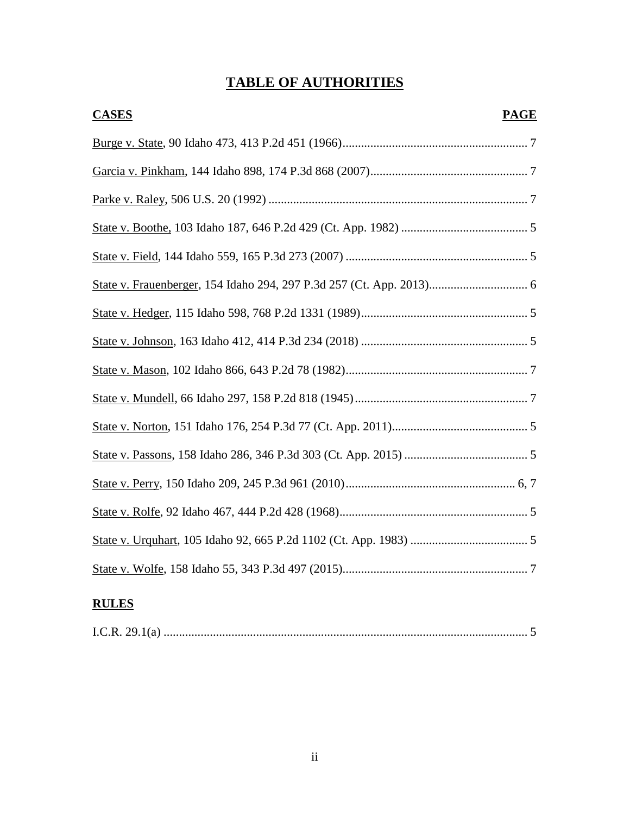# **TABLE OF AUTHORITIES**

| <b>CASES</b> | <b>PAGE</b> |
|--------------|-------------|
|              |             |
|              |             |
|              |             |
|              |             |
|              |             |
|              |             |
|              |             |
|              |             |
|              |             |
|              |             |
|              |             |
|              |             |
|              |             |
|              |             |
|              |             |
|              |             |
|              |             |

# **RULES**

|--|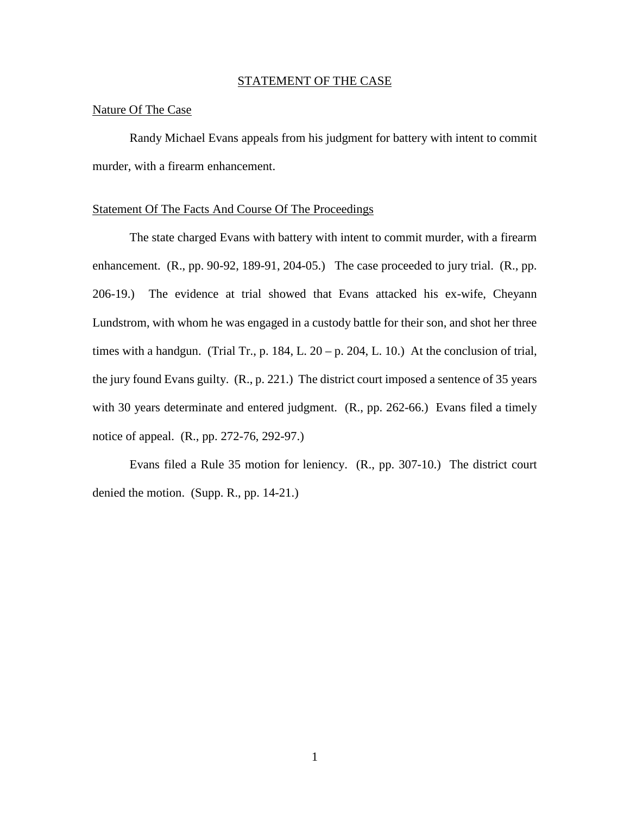#### STATEMENT OF THE CASE

#### Nature Of The Case

 Randy Michael Evans appeals from his judgment for battery with intent to commit murder, with a firearm enhancement.

#### Statement Of The Facts And Course Of The Proceedings

The state charged Evans with battery with intent to commit murder, with a firearm enhancement. (R., pp. 90-92, 189-91, 204-05.) The case proceeded to jury trial. (R., pp. 206-19.) The evidence at trial showed that Evans attacked his ex-wife, Cheyann Lundstrom, with whom he was engaged in a custody battle for their son, and shot her three times with a handgun. (Trial Tr., p. 184, L.  $20 - p$ . 204, L. 10.) At the conclusion of trial, the jury found Evans guilty. (R., p. 221.) The district court imposed a sentence of 35 years with 30 years determinate and entered judgment. (R., pp. 262-66.) Evans filed a timely notice of appeal. (R., pp. 272-76, 292-97.)

Evans filed a Rule 35 motion for leniency. (R., pp. 307-10.) The district court denied the motion. (Supp. R., pp. 14-21.)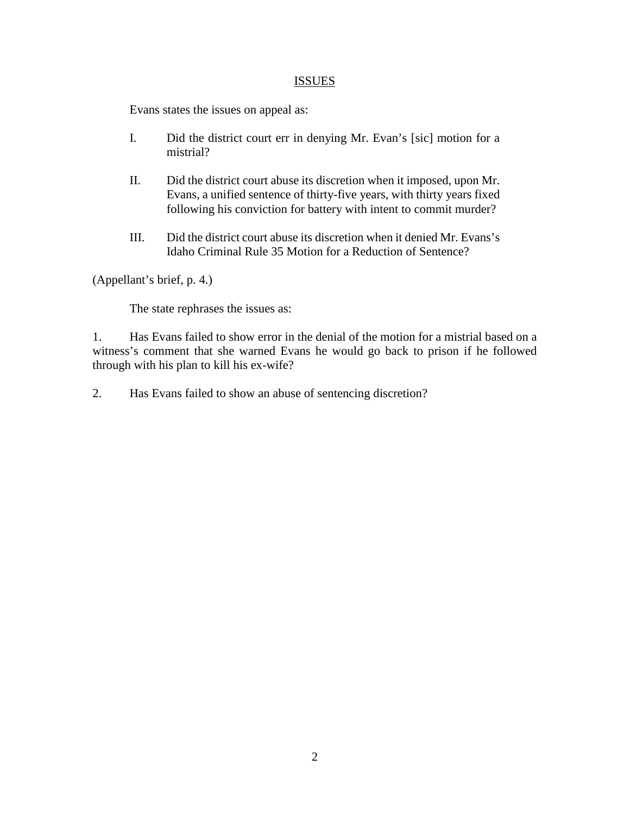## ISSUES

Evans states the issues on appeal as:

- I. Did the district court err in denying Mr. Evan's [sic] motion for a mistrial?
- II. Did the district court abuse its discretion when it imposed, upon Mr. Evans, a unified sentence of thirty-five years, with thirty years fixed following his conviction for battery with intent to commit murder?
- III. Did the district court abuse its discretion when it denied Mr. Evans's Idaho Criminal Rule 35 Motion for a Reduction of Sentence?

(Appellant's brief, p. 4.)

The state rephrases the issues as:

1. Has Evans failed to show error in the denial of the motion for a mistrial based on a witness's comment that she warned Evans he would go back to prison if he followed through with his plan to kill his ex-wife?

2. Has Evans failed to show an abuse of sentencing discretion?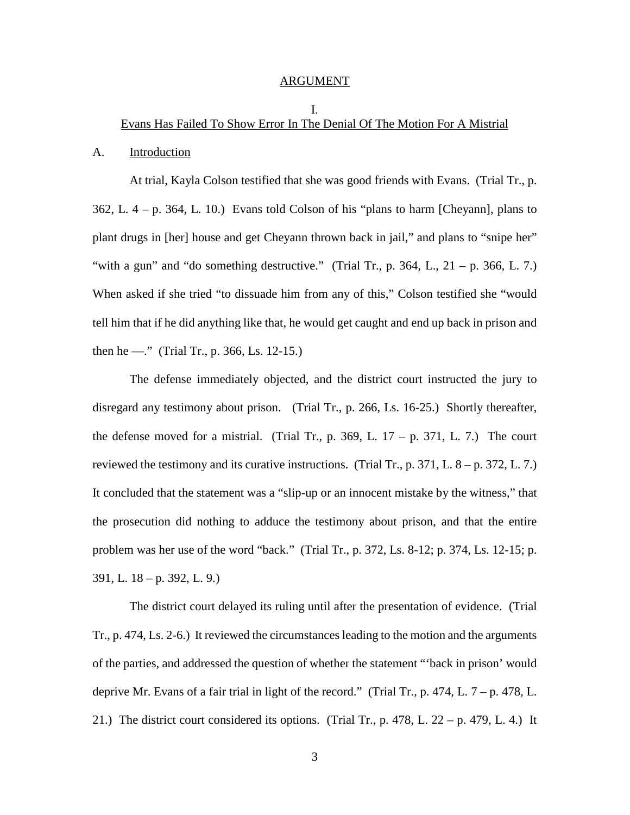#### ARGUMENT

# I. Evans Has Failed To Show Error In The Denial Of The Motion For A Mistrial

#### A. Introduction

At trial, Kayla Colson testified that she was good friends with Evans. (Trial Tr., p. 362, L. 4 – p. 364, L. 10.) Evans told Colson of his "plans to harm [Cheyann], plans to plant drugs in [her] house and get Cheyann thrown back in jail," and plans to "snipe her" "with a gun" and "do something destructive." (Trial Tr., p. 364, L.,  $21 - p$ . 366, L. 7.) When asked if she tried "to dissuade him from any of this," Colson testified she "would tell him that if he did anything like that, he would get caught and end up back in prison and then he —." (Trial Tr., p. 366, Ls. 12-15.)

The defense immediately objected, and the district court instructed the jury to disregard any testimony about prison. (Trial Tr., p. 266, Ls. 16-25.) Shortly thereafter, the defense moved for a mistrial. (Trial Tr., p. 369, L.  $17 - p$ . 371, L. 7.) The court reviewed the testimony and its curative instructions. (Trial Tr., p. 371, L.  $8 - p$ . 372, L. 7.) It concluded that the statement was a "slip-up or an innocent mistake by the witness," that the prosecution did nothing to adduce the testimony about prison, and that the entire problem was her use of the word "back." (Trial Tr., p. 372, Ls. 8-12; p. 374, Ls. 12-15; p. 391, L. 18 – p. 392, L. 9.)

The district court delayed its ruling until after the presentation of evidence. (Trial Tr., p. 474, Ls. 2-6.) It reviewed the circumstances leading to the motion and the arguments of the parties, and addressed the question of whether the statement "'back in prison' would deprive Mr. Evans of a fair trial in light of the record." (Trial Tr., p. 474, L.  $7 - p$ . 478, L. 21.) The district court considered its options. (Trial Tr., p. 478, L.  $22 - p$ , 479, L. 4.) It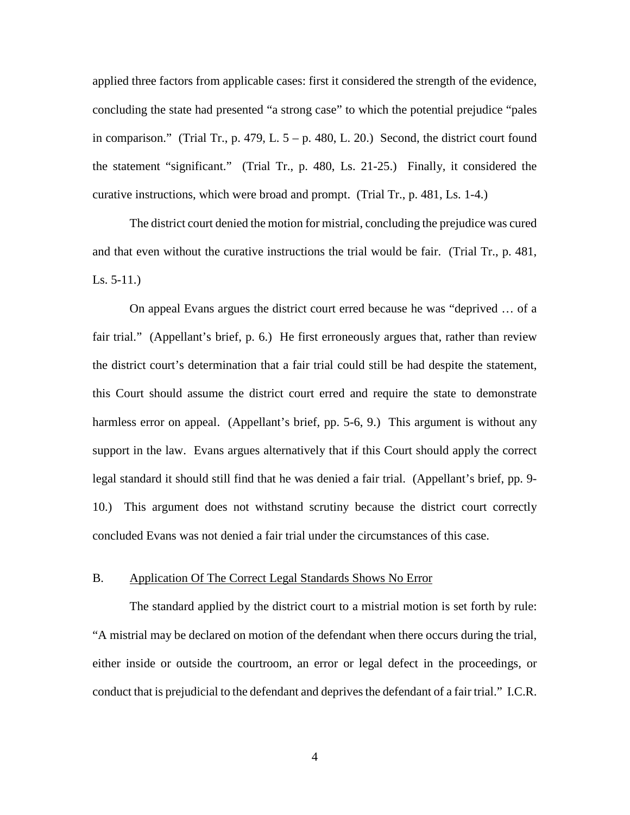applied three factors from applicable cases: first it considered the strength of the evidence, concluding the state had presented "a strong case" to which the potential prejudice "pales in comparison." (Trial Tr., p. 479, L.  $5 - p$ . 480, L. 20.) Second, the district court found the statement "significant." (Trial Tr., p. 480, Ls. 21-25.) Finally, it considered the curative instructions, which were broad and prompt. (Trial Tr., p. 481, Ls. 1-4.)

The district court denied the motion for mistrial, concluding the prejudice was cured and that even without the curative instructions the trial would be fair. (Trial Tr., p. 481,  $\text{Ls. } 5-11.$ )

On appeal Evans argues the district court erred because he was "deprived … of a fair trial." (Appellant's brief, p. 6.) He first erroneously argues that, rather than review the district court's determination that a fair trial could still be had despite the statement, this Court should assume the district court erred and require the state to demonstrate harmless error on appeal. (Appellant's brief, pp. 5-6, 9.) This argument is without any support in the law. Evans argues alternatively that if this Court should apply the correct legal standard it should still find that he was denied a fair trial. (Appellant's brief, pp. 9- 10.) This argument does not withstand scrutiny because the district court correctly concluded Evans was not denied a fair trial under the circumstances of this case.

#### B. Application Of The Correct Legal Standards Shows No Error

The standard applied by the district court to a mistrial motion is set forth by rule: "A mistrial may be declared on motion of the defendant when there occurs during the trial, either inside or outside the courtroom, an error or legal defect in the proceedings, or conduct that is prejudicial to the defendant and deprives the defendant of a fair trial." I.C.R.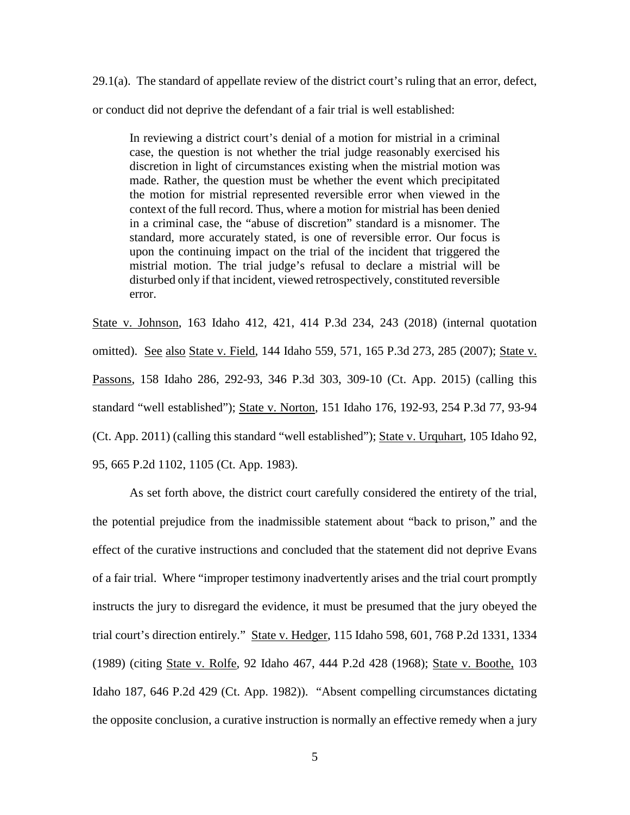29.1(a). The standard of appellate review of the district court's ruling that an error, defect, or conduct did not deprive the defendant of a fair trial is well established:

In reviewing a district court's denial of a motion for mistrial in a criminal case, the question is not whether the trial judge reasonably exercised his discretion in light of circumstances existing when the mistrial motion was made. Rather, the question must be whether the event which precipitated the motion for mistrial represented reversible error when viewed in the context of the full record. Thus, where a motion for mistrial has been denied in a criminal case, the "abuse of discretion" standard is a misnomer. The standard, more accurately stated, is one of reversible error. Our focus is upon the continuing impact on the trial of the incident that triggered the mistrial motion. The trial judge's refusal to declare a mistrial will be disturbed only if that incident, viewed retrospectively, constituted reversible error.

State v. Johnson, 163 Idaho 412, 421, 414 P.3d 234, 243 (2018) (internal quotation omitted). See also State v. Field, 144 Idaho 559, 571, 165 P.3d 273, 285 (2007); State v. Passons, 158 Idaho 286, 292-93, 346 P.3d 303, 309-10 (Ct. App. 2015) (calling this standard "well established"); State v. Norton, 151 Idaho 176, 192-93, 254 P.3d 77, 93-94 (Ct. App. 2011) (calling this standard "well established"); State v. Urquhart, 105 Idaho 92, 95, 665 P.2d 1102, 1105 (Ct. App. 1983).

As set forth above, the district court carefully considered the entirety of the trial, the potential prejudice from the inadmissible statement about "back to prison," and the effect of the curative instructions and concluded that the statement did not deprive Evans of a fair trial. Where "improper testimony inadvertently arises and the trial court promptly instructs the jury to disregard the evidence, it must be presumed that the jury obeyed the trial court's direction entirely." State v. Hedger, 115 Idaho 598, 601, 768 P.2d 1331, 1334 (1989) (citing State v. Rolfe, 92 Idaho 467, 444 P.2d 428 (1968); State v. Boothe, 103 Idaho 187, 646 P.2d 429 (Ct. App. 1982)). "Absent compelling circumstances dictating the opposite conclusion, a curative instruction is normally an effective remedy when a jury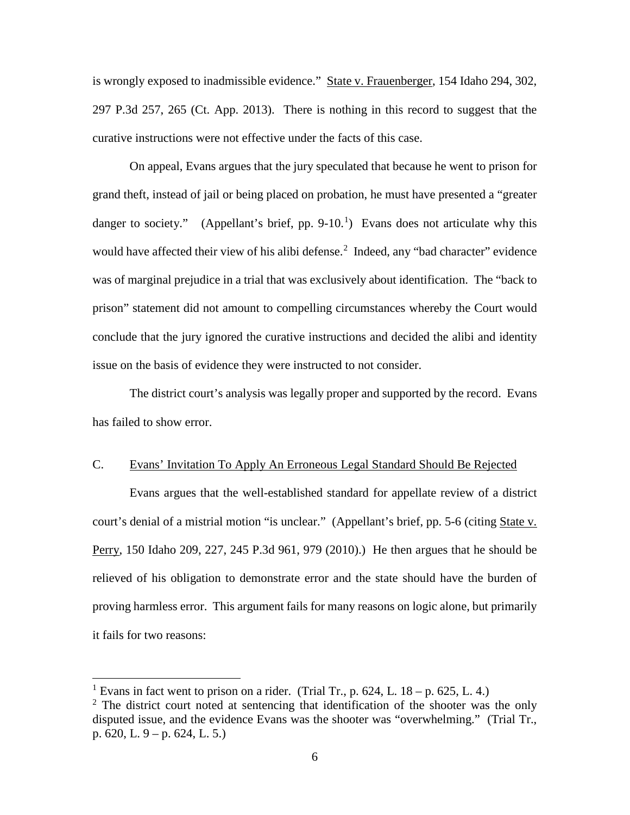is wrongly exposed to inadmissible evidence." State v. Frauenberger, 154 Idaho 294, 302, 297 P.3d 257, 265 (Ct. App. 2013). There is nothing in this record to suggest that the curative instructions were not effective under the facts of this case.

On appeal, Evans argues that the jury speculated that because he went to prison for grand theft, instead of jail or being placed on probation, he must have presented a "greater danger to society." (Appellant's brief, pp.  $9-10<sup>1</sup>$  $9-10<sup>1</sup>$  $9-10<sup>1</sup>$ ) Evans does not articulate why this would have affected their view of his alibi defense.<sup>[2](#page--1-1)</sup> Indeed, any "bad character" evidence was of marginal prejudice in a trial that was exclusively about identification. The "back to prison" statement did not amount to compelling circumstances whereby the Court would conclude that the jury ignored the curative instructions and decided the alibi and identity issue on the basis of evidence they were instructed to not consider.

The district court's analysis was legally proper and supported by the record. Evans has failed to show error.

# C. Evans' Invitation To Apply An Erroneous Legal Standard Should Be Rejected

Evans argues that the well-established standard for appellate review of a district court's denial of a mistrial motion "is unclear." (Appellant's brief, pp. 5-6 (citing State v. Perry, 150 Idaho 209, 227, 245 P.3d 961, 979 (2010).) He then argues that he should be relieved of his obligation to demonstrate error and the state should have the burden of proving harmless error. This argument fails for many reasons on logic alone, but primarily it fails for two reasons:

 $\overline{a}$ 

<sup>&</sup>lt;sup>1</sup> Evans in fact went to prison on a rider. (Trial Tr., p. 624, L.  $18 - p$ . 625, L. 4.)

 $2^2$  The district court noted at sentencing that identification of the shooter was the only disputed issue, and the evidence Evans was the shooter was "overwhelming." (Trial Tr., p. 620, L. 9 – p. 624, L. 5.)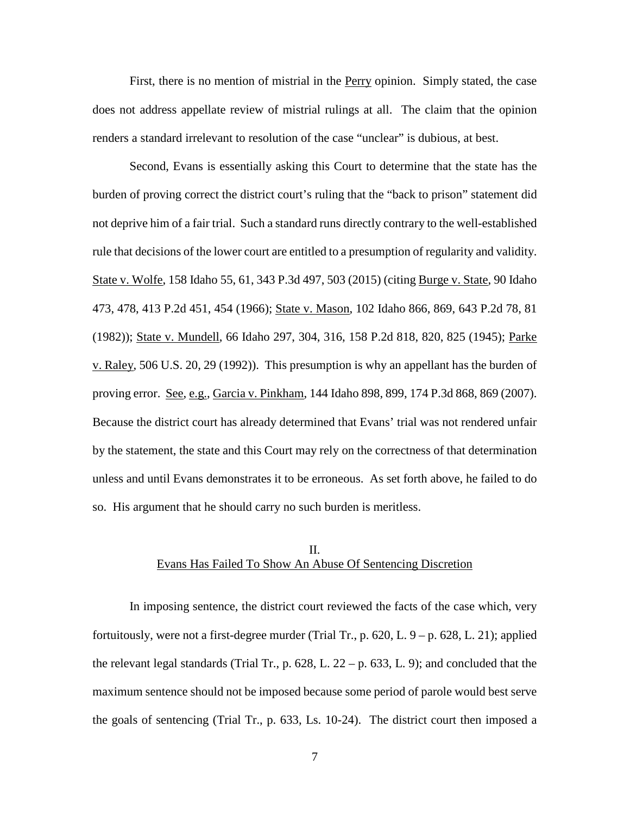First, there is no mention of mistrial in the Perry opinion. Simply stated, the case does not address appellate review of mistrial rulings at all. The claim that the opinion renders a standard irrelevant to resolution of the case "unclear" is dubious, at best.

Second, Evans is essentially asking this Court to determine that the state has the burden of proving correct the district court's ruling that the "back to prison" statement did not deprive him of a fair trial. Such a standard runs directly contrary to the well-established rule that decisions of the lower court are entitled to a presumption of regularity and validity. State v. Wolfe, 158 Idaho 55, 61, 343 P.3d 497, 503 (2015) (citing Burge v. State, 90 Idaho 473, 478, 413 P.2d 451, 454 (1966); State v. Mason, 102 Idaho 866, 869, 643 P.2d 78, 81 (1982)); State v. Mundell, 66 Idaho 297, 304, 316, 158 P.2d 818, 820, 825 (1945); Parke v. Raley, 506 U.S. 20, 29 (1992)). This presumption is why an appellant has the burden of proving error. See, e.g., Garcia v. Pinkham, 144 Idaho 898, 899, 174 P.3d 868, 869 (2007). Because the district court has already determined that Evans' trial was not rendered unfair by the statement, the state and this Court may rely on the correctness of that determination unless and until Evans demonstrates it to be erroneous. As set forth above, he failed to do so. His argument that he should carry no such burden is meritless.

# II. Evans Has Failed To Show An Abuse Of Sentencing Discretion

In imposing sentence, the district court reviewed the facts of the case which, very fortuitously, were not a first-degree murder (Trial Tr., p. 620, L.  $9 - p$ , 628, L. 21); applied the relevant legal standards (Trial Tr., p. 628, L.  $22 - p$ . 633, L. 9); and concluded that the maximum sentence should not be imposed because some period of parole would best serve the goals of sentencing (Trial Tr., p. 633, Ls. 10-24). The district court then imposed a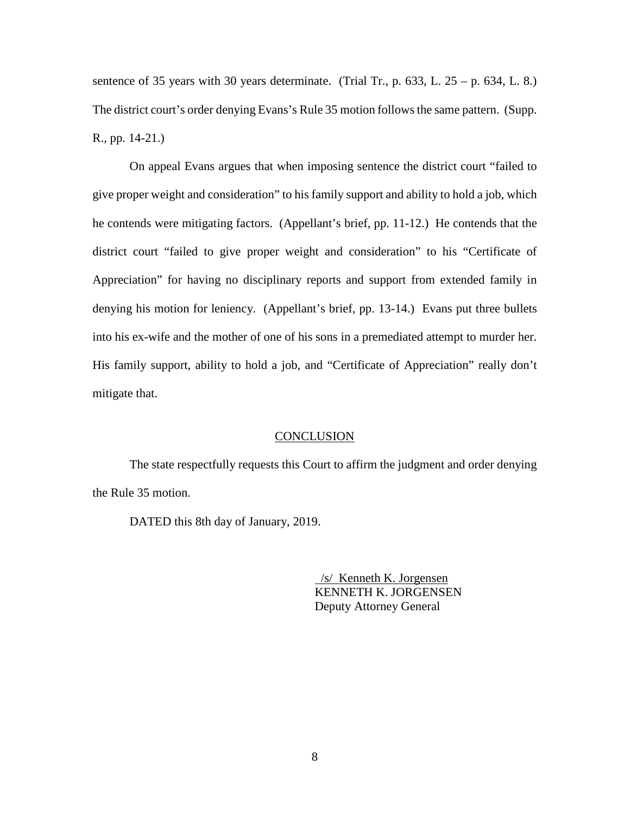sentence of 35 years with 30 years determinate. (Trial Tr., p.  $633$ , L.  $25 - p$ .  $634$ , L. 8.) The district court's order denying Evans's Rule 35 motion follows the same pattern. (Supp. R., pp. 14-21.)

On appeal Evans argues that when imposing sentence the district court "failed to give proper weight and consideration" to his family support and ability to hold a job, which he contends were mitigating factors. (Appellant's brief, pp. 11-12.) He contends that the district court "failed to give proper weight and consideration" to his "Certificate of Appreciation" for having no disciplinary reports and support from extended family in denying his motion for leniency. (Appellant's brief, pp. 13-14.) Evans put three bullets into his ex-wife and the mother of one of his sons in a premediated attempt to murder her. His family support, ability to hold a job, and "Certificate of Appreciation" really don't mitigate that.

#### **CONCLUSION**

The state respectfully requests this Court to affirm the judgment and order denying the Rule 35 motion.

DATED this 8th day of January, 2019.

 /s/ Kenneth K. Jorgensen KENNETH K. JORGENSEN Deputy Attorney General